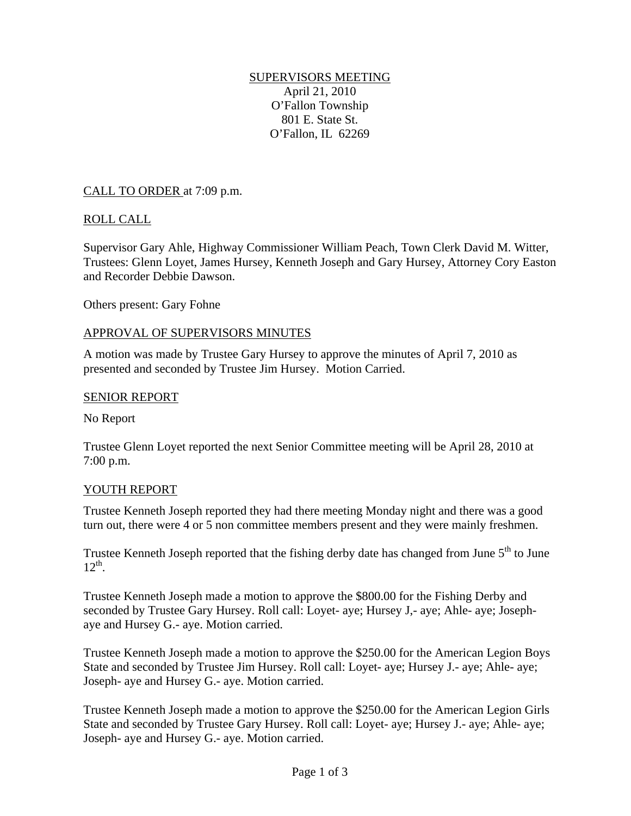# SUPERVISORS MEETING April 21, 2010 O'Fallon Township 801 E. State St. O'Fallon, IL 62269

# CALL TO ORDER at 7:09 p.m.

# ROLL CALL

Supervisor Gary Ahle, Highway Commissioner William Peach, Town Clerk David M. Witter, Trustees: Glenn Loyet, James Hursey, Kenneth Joseph and Gary Hursey, Attorney Cory Easton and Recorder Debbie Dawson.

Others present: Gary Fohne

### APPROVAL OF SUPERVISORS MINUTES

A motion was made by Trustee Gary Hursey to approve the minutes of April 7, 2010 as presented and seconded by Trustee Jim Hursey. Motion Carried.

#### SENIOR REPORT

No Report

Trustee Glenn Loyet reported the next Senior Committee meeting will be April 28, 2010 at 7:00 p.m.

### YOUTH REPORT

Trustee Kenneth Joseph reported they had there meeting Monday night and there was a good turn out, there were 4 or 5 non committee members present and they were mainly freshmen.

Trustee Kenneth Joseph reported that the fishing derby date has changed from June 5<sup>th</sup> to June  $12^{th}$ .

Trustee Kenneth Joseph made a motion to approve the \$800.00 for the Fishing Derby and seconded by Trustee Gary Hursey. Roll call: Loyet- aye; Hursey J,- aye; Ahle- aye; Josephaye and Hursey G.- aye. Motion carried.

Trustee Kenneth Joseph made a motion to approve the \$250.00 for the American Legion Boys State and seconded by Trustee Jim Hursey. Roll call: Loyet- aye; Hursey J.- aye; Ahle- aye; Joseph- aye and Hursey G.- aye. Motion carried.

Trustee Kenneth Joseph made a motion to approve the \$250.00 for the American Legion Girls State and seconded by Trustee Gary Hursey. Roll call: Loyet- aye; Hursey J.- aye; Ahle- aye; Joseph- aye and Hursey G.- aye. Motion carried.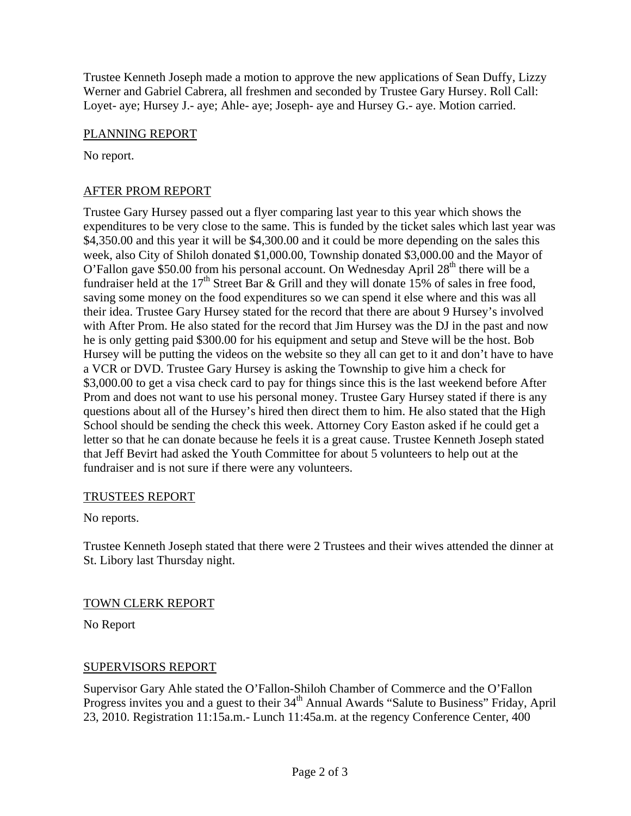Trustee Kenneth Joseph made a motion to approve the new applications of Sean Duffy, Lizzy Werner and Gabriel Cabrera, all freshmen and seconded by Trustee Gary Hursey. Roll Call: Loyet- aye; Hursey J.- aye; Ahle- aye; Joseph- aye and Hursey G.- aye. Motion carried.

### PLANNING REPORT

No report.

# AFTER PROM REPORT

Trustee Gary Hursey passed out a flyer comparing last year to this year which shows the expenditures to be very close to the same. This is funded by the ticket sales which last year was \$4,350.00 and this year it will be \$4,300.00 and it could be more depending on the sales this week, also City of Shiloh donated \$1,000.00, Township donated \$3,000.00 and the Mayor of O'Fallon gave \$50.00 from his personal account. On Wednesday April  $28<sup>th</sup>$  there will be a fundraiser held at the  $17<sup>th</sup>$  Street Bar & Grill and they will donate 15% of sales in free food, saving some money on the food expenditures so we can spend it else where and this was all their idea. Trustee Gary Hursey stated for the record that there are about 9 Hursey's involved with After Prom. He also stated for the record that Jim Hursey was the DJ in the past and now he is only getting paid \$300.00 for his equipment and setup and Steve will be the host. Bob Hursey will be putting the videos on the website so they all can get to it and don't have to have a VCR or DVD. Trustee Gary Hursey is asking the Township to give him a check for \$3,000.00 to get a visa check card to pay for things since this is the last weekend before After Prom and does not want to use his personal money. Trustee Gary Hursey stated if there is any questions about all of the Hursey's hired then direct them to him. He also stated that the High School should be sending the check this week. Attorney Cory Easton asked if he could get a letter so that he can donate because he feels it is a great cause. Trustee Kenneth Joseph stated that Jeff Bevirt had asked the Youth Committee for about 5 volunteers to help out at the fundraiser and is not sure if there were any volunteers.

### TRUSTEES REPORT

No reports.

Trustee Kenneth Joseph stated that there were 2 Trustees and their wives attended the dinner at St. Libory last Thursday night.

### TOWN CLERK REPORT

No Report

# SUPERVISORS REPORT

Supervisor Gary Ahle stated the O'Fallon-Shiloh Chamber of Commerce and the O'Fallon Progress invites you and a guest to their 34<sup>th</sup> Annual Awards "Salute to Business" Friday, April 23, 2010. Registration 11:15a.m.- Lunch 11:45a.m. at the regency Conference Center, 400